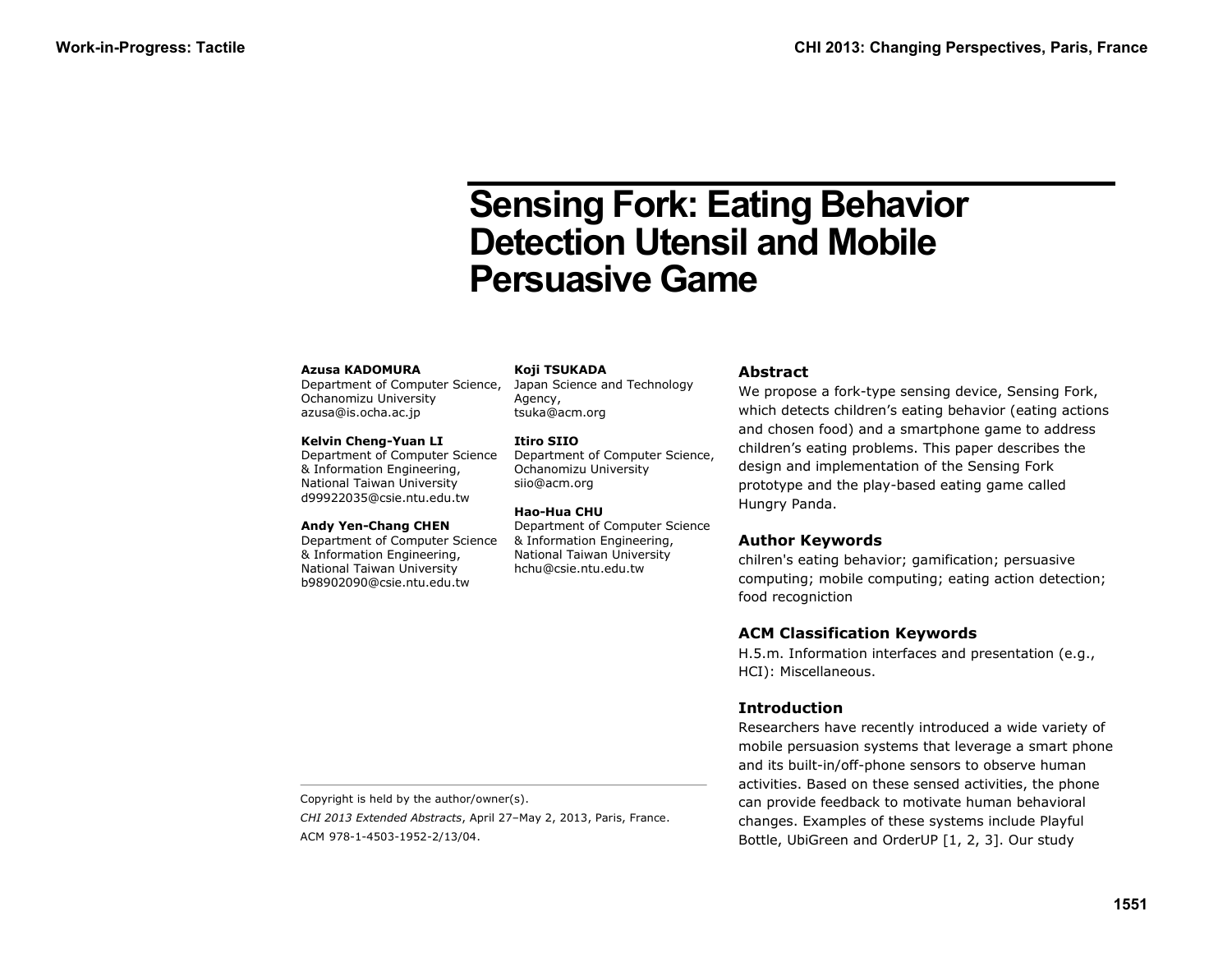# **Sensing Fork: Eating Behavior Detection Utensil and Mobile Persuasive Game**

#### **Azusa KADOMURA**

Department of Computer Science, Ochanomizu University azusa@is.ocha.ac.jp

#### **Kelvin Cheng-Yuan LI**

Department of Computer Science & Information Engineering, National Taiwan University d99922035@csie.ntu.edu.tw

#### **Andy Yen-Chang CHEN**

Department of Computer Science & Information Engineering, National Taiwan University b98902090@csie.ntu.edu.tw

**Koji TSUKADA**

Japan Science and Technology Agency, tsuka@acm.org

#### **Itiro SIIO**

Department of Computer Science, Ochanomizu University siio@acm.org

#### **Hao-Hua CHU**

Department of Computer Science & Information Engineering, National Taiwan University hchu@csie.ntu.edu.tw

#### **Abstract**

We propose a fork-type sensing device, Sensing Fork, which detects children's eating behavior (eating actions and chosen food) and a smartphone game to address children's eating problems. This paper describes the design and implementation of the Sensing Fork prototype and the play-based eating game called Hungry Panda.

## **Author Keywords**

chilren's eating behavior; gamification; persuasive computing; mobile computing; eating action detection; food recogniction

## **ACM Classification Keywords**

H.5.m. Information interfaces and presentation (e.g., HCI): Miscellaneous.

## **Introduction**

Researchers have recently introduced a wide variety of mobile persuasion systems that leverage a smart phone and its built-in/off-phone sensors to observe human activities. Based on these sensed activities, the phone can provide feedback to motivate human behavioral changes. Examples of these systems include Playful Bottle, UbiGreen and OrderUP [1, 2, 3]. Our study

Copyright is held by the author/owner(s).

*CHI 2013 Extended Abstracts*, April 27–May 2, 2013, Paris, France. ACM 978-1-4503-1952-2/13/04.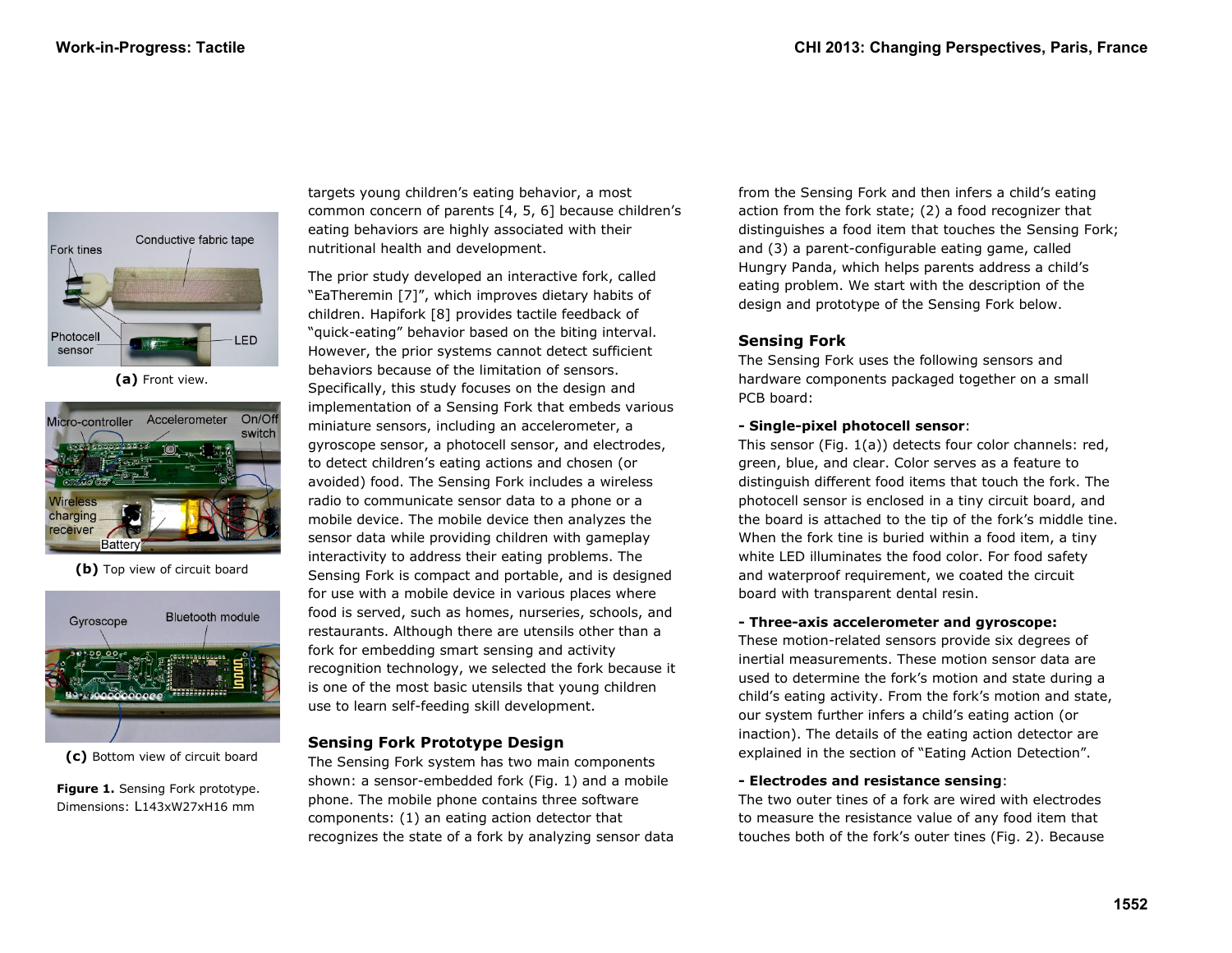

**(a)** Front view.



**(b)** Top view of circuit board



**(c)** Bottom view of circuit board

**Figure 1.** Sensing Fork prototype. Dimensions: L143xW27xH16 mm

targets young children's eating behavior, a most common concern of parents [4, 5, 6] because children's eating behaviors are highly associated with their nutritional health and development.

The prior study developed an interactive fork, called "EaTheremin [7]", which improves dietary habits of children. Hapifork [8] provides tactile feedback of "quick-eating" behavior based on the biting interval. However, the prior systems cannot detect sufficient behaviors because of the limitation of sensors. Specifically, this study focuses on the design and implementation of a Sensing Fork that embeds various miniature sensors, including an accelerometer, a gyroscope sensor, a photocell sensor, and electrodes, to detect children's eating actions and chosen (or avoided) food. The Sensing Fork includes a wireless radio to communicate sensor data to a phone or a mobile device. The mobile device then analyzes the sensor data while providing children with gameplay interactivity to address their eating problems. The Sensing Fork is compact and portable, and is designed for use with a mobile device in various places where food is served, such as homes, nurseries, schools, and restaurants. Although there are utensils other than a fork for embedding smart sensing and activity recognition technology, we selected the fork because it is one of the most basic utensils that young children use to learn self-feeding skill development.

# **Sensing Fork Prototype Design**

The Sensing Fork system has two main components shown: a sensor-embedded fork (Fig. 1) and a mobile phone. The mobile phone contains three software components: (1) an eating action detector that recognizes the state of a fork by analyzing sensor data from the Sensing Fork and then infers a child's eating action from the fork state; (2) a food recognizer that distinguishes a food item that touches the Sensing Fork; and (3) a parent-configurable eating game, called Hungry Panda, which helps parents address a child's eating problem. We start with the description of the design and prototype of the Sensing Fork below.

# **Sensing Fork**

The Sensing Fork uses the following sensors and hardware components packaged together on a small PCB board:

# **- Single-pixel photocell sensor**:

This sensor (Fig. 1(a)) detects four color channels: red, green, blue, and clear. Color serves as a feature to distinguish different food items that touch the fork. The photocell sensor is enclosed in a tiny circuit board, and the board is attached to the tip of the fork's middle tine. When the fork tine is buried within a food item, a tiny white LED illuminates the food color. For food safety and waterproof requirement, we coated the circuit board with transparent dental resin.

# **- Three-axis accelerometer and gyroscope:**

These motion-related sensors provide six degrees of inertial measurements. These motion sensor data are used to determine the fork's motion and state during a child's eating activity. From the fork's motion and state, our system further infers a child's eating action (or inaction). The details of the eating action detector are explained in the section of "Eating Action Detection".

# **- Electrodes and resistance sensing**:

The two outer tines of a fork are wired with electrodes to measure the resistance value of any food item that touches both of the fork's outer tines (Fig. 2). Because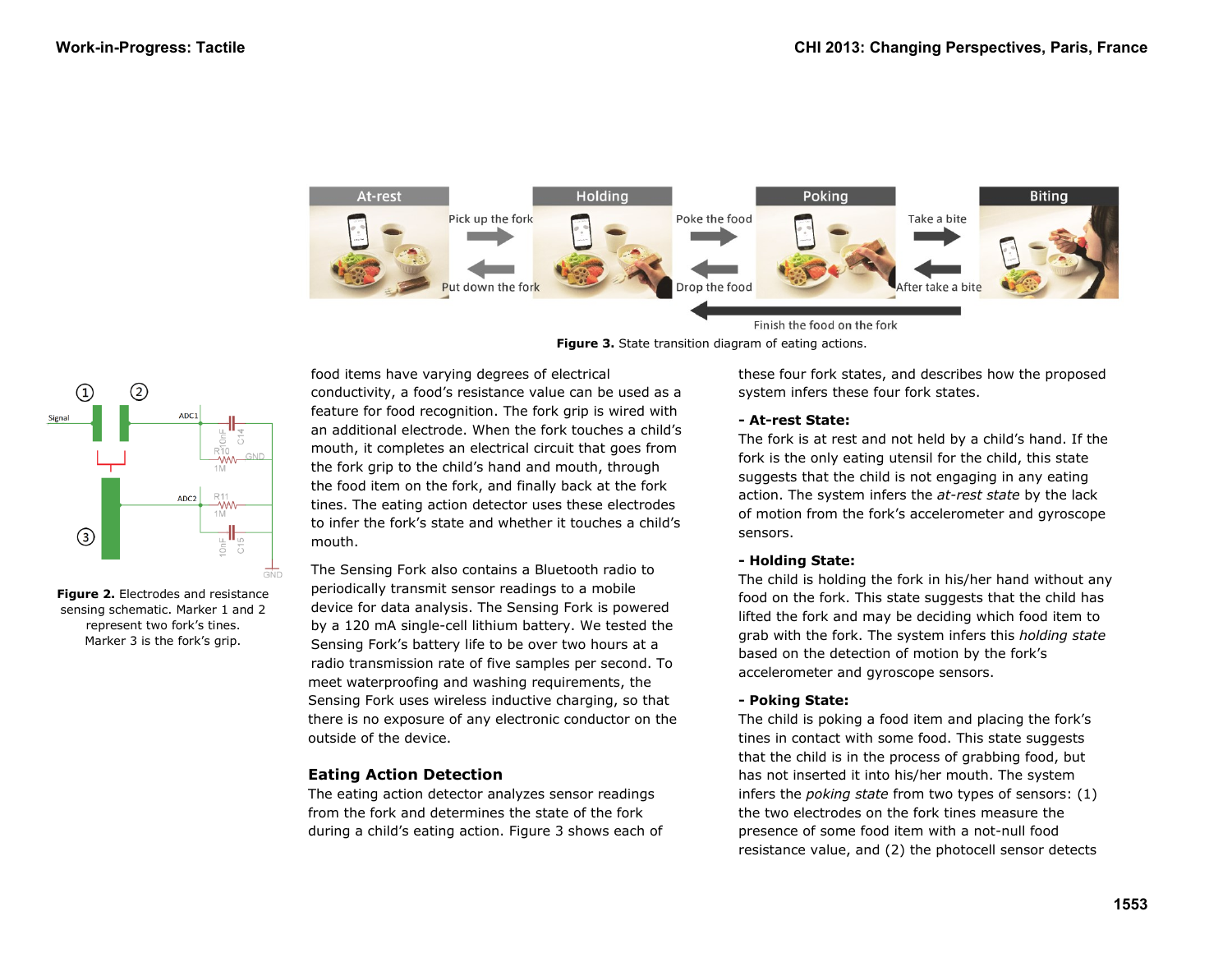





**Figure 2.** Electrodes and resistance sensing schematic. Marker 1 and 2 represent two fork's tines. Marker 3 is the fork's grip.

food items have varying degrees of electrical conductivity, a food's resistance value can be used as a feature for food recognition. The fork grip is wired with an additional electrode. When the fork touches a child's mouth, it completes an electrical circuit that goes from the fork grip to the child's hand and mouth, through the food item on the fork, and finally back at the fork tines. The eating action detector uses these electrodes to infer the fork's state and whether it touches a child's mouth.

The Sensing Fork also contains a Bluetooth radio to periodically transmit sensor readings to a mobile device for data analysis. The Sensing Fork is powered by a 120 mA single-cell lithium battery. We tested the Sensing Fork's battery life to be over two hours at a radio transmission rate of five samples per second. To meet waterproofing and washing requirements, the Sensing Fork uses wireless inductive charging, so that there is no exposure of any electronic conductor on the outside of the device.

# **Eating Action Detection**

The eating action detector analyzes sensor readings from the fork and determines the state of the fork during a child's eating action. Figure 3 shows each of these four fork states, and describes how the proposed system infers these four fork states.

## **- At-rest State:**

The fork is at rest and not held by a child's hand. If the fork is the only eating utensil for the child, this state suggests that the child is not engaging in any eating action. The system infers the *at-rest state* by the lack of motion from the fork's accelerometer and gyroscope sensors.

## **- Holding State:**

The child is holding the fork in his/her hand without any food on the fork. This state suggests that the child has lifted the fork and may be deciding which food item to grab with the fork. The system infers this *holding state* based on the detection of motion by the fork's accelerometer and gyroscope sensors.

## **- Poking State:**

The child is poking a food item and placing the fork's tines in contact with some food. This state suggests that the child is in the process of grabbing food, but has not inserted it into his/her mouth. The system infers the *poking state* from two types of sensors: (1) the two electrodes on the fork tines measure the presence of some food item with a not-null food resistance value, and (2) the photocell sensor detects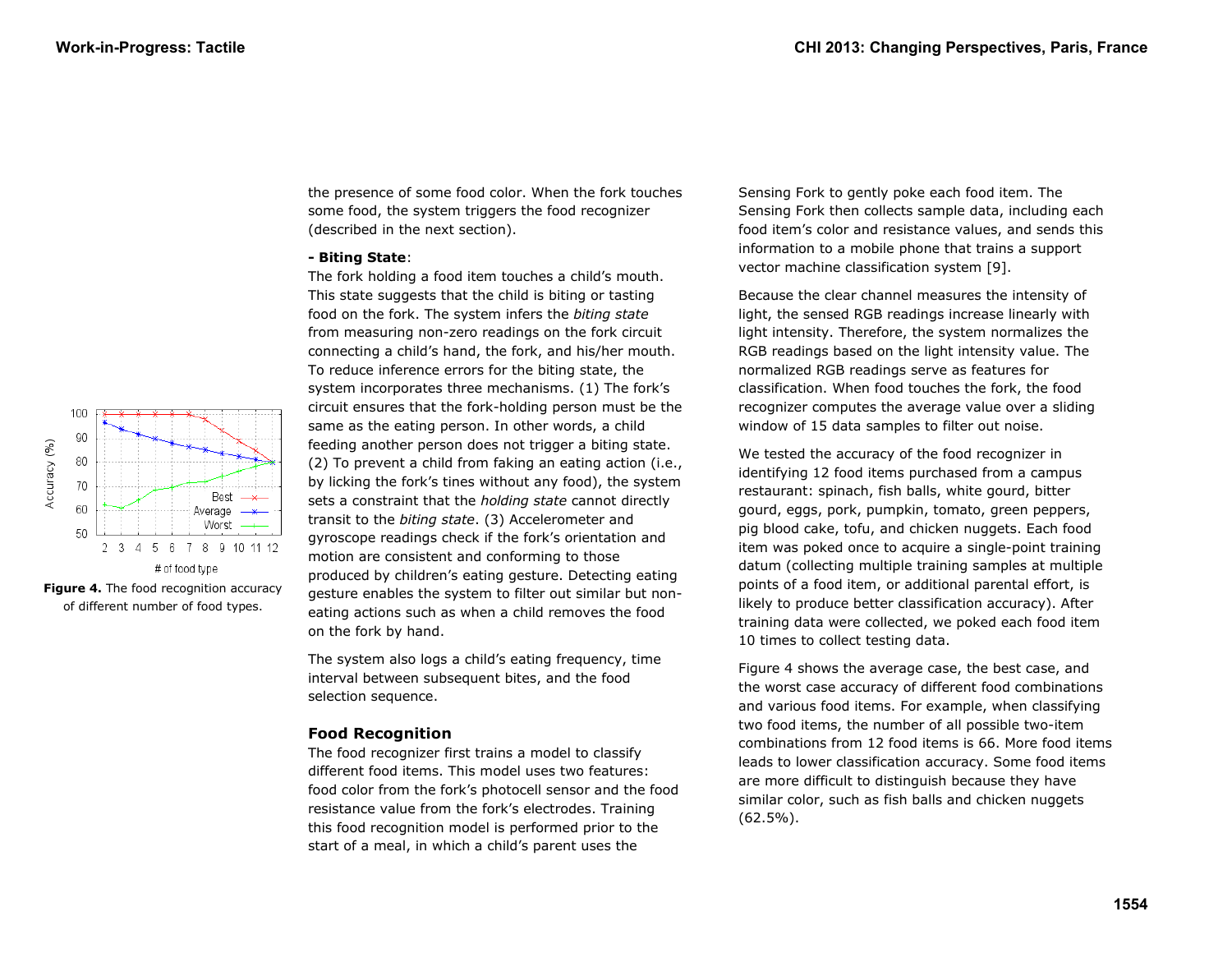

**Figure 4.** The food recognition accuracy of different number of food types.

the presence of some food color. When the fork touches some food, the system triggers the food recognizer (described in the next section).

#### **- Biting State**:

The fork holding a food item touches a child's mouth. This state suggests that the child is biting or tasting food on the fork. The system infers the *biting state* from measuring non-zero readings on the fork circuit connecting a child's hand, the fork, and his/her mouth. To reduce inference errors for the biting state, the system incorporates three mechanisms. (1) The fork's circuit ensures that the fork-holding person must be the same as the eating person. In other words, a child feeding another person does not trigger a biting state. (2) To prevent a child from faking an eating action (i.e., by licking the fork's tines without any food), the system sets a constraint that the *holding state* cannot directly transit to the *biting state*. (3) Accelerometer and gyroscope readings check if the fork's orientation and motion are consistent and conforming to those produced by children's eating gesture. Detecting eating gesture enables the system to filter out similar but noneating actions such as when a child removes the food on the fork by hand.

The system also logs a child's eating frequency, time interval between subsequent bites, and the food selection sequence.

# **Food Recognition**

The food recognizer first trains a model to classify different food items. This model uses two features: food color from the fork's photocell sensor and the food resistance value from the fork's electrodes. Training this food recognition model is performed prior to the start of a meal, in which a child's parent uses the

Sensing Fork to gently poke each food item. The Sensing Fork then collects sample data, including each food item's color and resistance values, and sends this information to a mobile phone that trains a support vector machine classification system [9].

Because the clear channel measures the intensity of light, the sensed RGB readings increase linearly with light intensity. Therefore, the system normalizes the RGB readings based on the light intensity value. The normalized RGB readings serve as features for classification. When food touches the fork, the food recognizer computes the average value over a sliding window of 15 data samples to filter out noise.

We tested the accuracy of the food recognizer in identifying 12 food items purchased from a campus restaurant: spinach, fish balls, white gourd, bitter gourd, eggs, pork, pumpkin, tomato, green peppers, pig blood cake, tofu, and chicken nuggets. Each food item was poked once to acquire a single-point training datum (collecting multiple training samples at multiple points of a food item, or additional parental effort, is likely to produce better classification accuracy). After training data were collected, we poked each food item 10 times to collect testing data.

Figure 4 shows the average case, the best case, and the worst case accuracy of different food combinations and various food items. For example, when classifying two food items, the number of all possible two-item combinations from 12 food items is 66. More food items leads to lower classification accuracy. Some food items are more difficult to distinguish because they have similar color, such as fish balls and chicken nuggets (62.5%).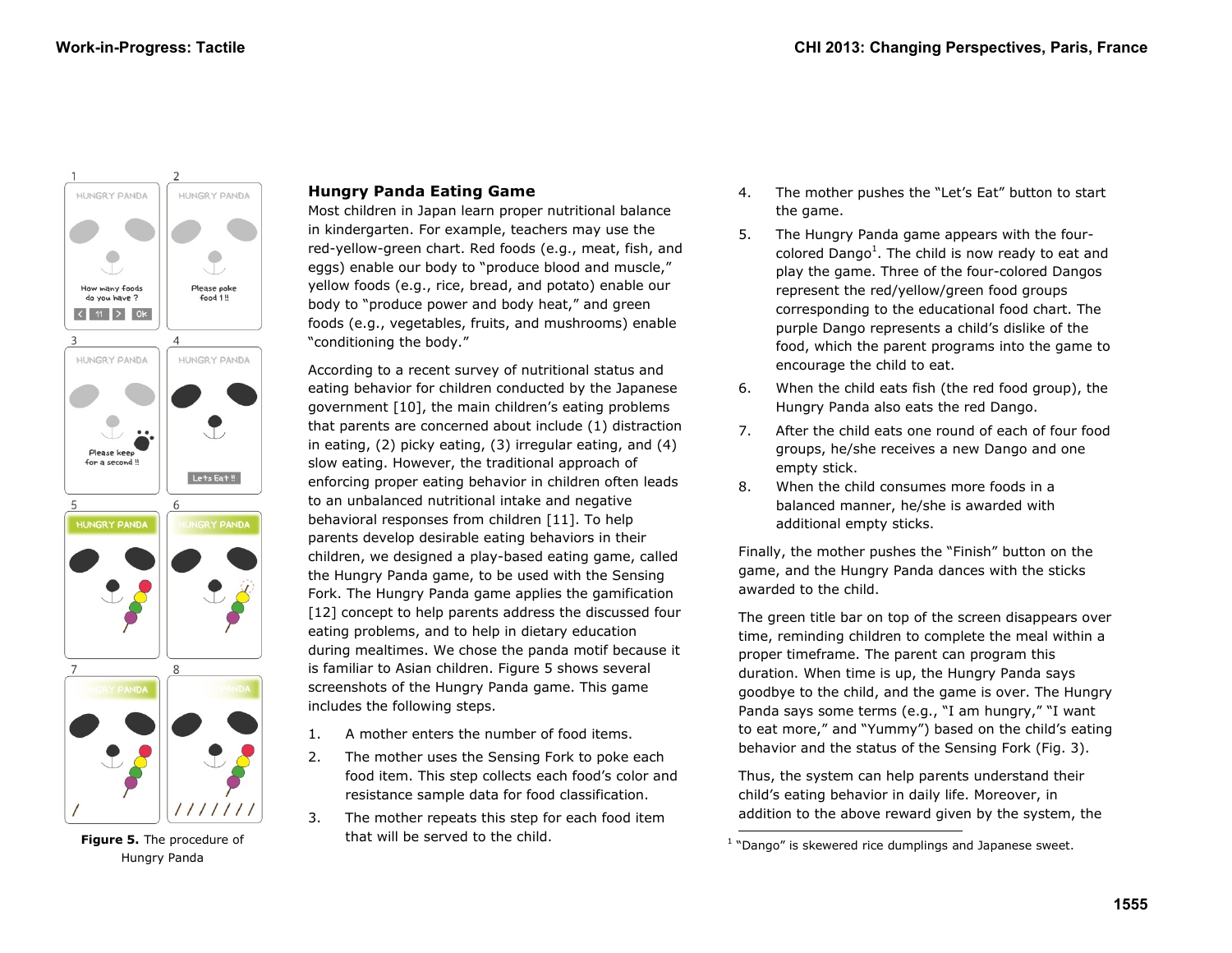

Hungry Panda

# **Hungry Panda Eating Game**

Most children in Japan learn proper nutritional balance in kindergarten. For example, teachers may use the red-yellow-green chart. Red foods (e.g., meat, fish, and eggs) enable our body to "produce blood and muscle," yellow foods (e.g., rice, bread, and potato) enable our body to "produce power and body heat," and green foods (e.g., vegetables, fruits, and mushrooms) enable "conditioning the body."

According to a recent survey of nutritional status and eating behavior for children conducted by the Japanese government [10], the main children's eating problems that parents are concerned about include (1) distraction in eating, (2) picky eating, (3) irregular eating, and (4) slow eating. However, the traditional approach of enforcing proper eating behavior in children often leads to an unbalanced nutritional intake and negative behavioral responses from children [11]. To help parents develop desirable eating behaviors in their children, we designed a play-based eating game, called the Hungry Panda game, to be used with the Sensing Fork. The Hungry Panda game applies the gamification [12] concept to help parents address the discussed four eating problems, and to help in dietary education during mealtimes. We chose the panda motif because it is familiar to Asian children. Figure 5 shows several screenshots of the Hungry Panda game. This game includes the following steps.

- 1. A mother enters the number of food items.
- 2. The mother uses the Sensing Fork to poke each food item. This step collects each food's color and resistance sample data for food classification.
- 3. The mother repeats this step for each food item that will be served to the child.
- 4. The mother pushes the "Let's Eat" button to start the game.
- 5. The Hungry Panda game appears with the fourcolored Dango<sup>1</sup>. The child is now ready to eat and play the game. Three of the four-colored Dangos represent the red/yellow/green food groups corresponding to the educational food chart. The purple Dango represents a child's dislike of the food, which the parent programs into the game to encourage the child to eat.
- 6. When the child eats fish (the red food group), the Hungry Panda also eats the red Dango.
- 7. After the child eats one round of each of four food groups, he/she receives a new Dango and one empty stick.
- 8. When the child consumes more foods in a balanced manner, he/she is awarded with additional empty sticks.

Finally, the mother pushes the "Finish" button on the game, and the Hungry Panda dances with the sticks awarded to the child.

The green title bar on top of the screen disappears over time, reminding children to complete the meal within a proper timeframe. The parent can program this duration. When time is up, the Hungry Panda says goodbye to the child, and the game is over. The Hungry Panda says some terms (e.g., "I am hungry," "I want to eat more," and "Yummy") based on the child's eating behavior and the status of the Sensing Fork (Fig. 3).

Thus, the system can help parents understand their child's eating behavior in daily life. Moreover, in addition to the above reward given by the system, the

<sup>-</sup>Figure 5. The procedure of **Exercise 2** that will be served to the child. The procedure is skewered rice dumplings and Japanese sweet.